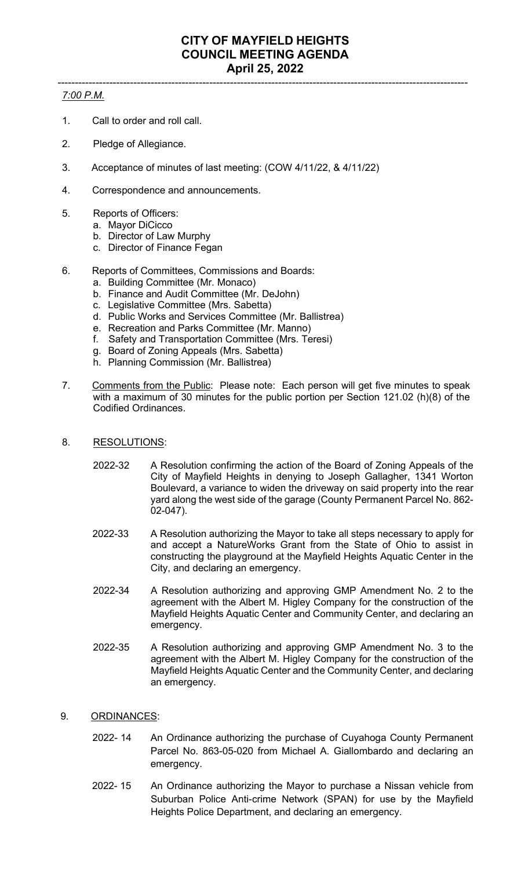#### ----------------------------------------------------------------------------------------------------------------------- *7:00 P.M.*

- 1. Call to order and roll call.
- 2. Pledge of Allegiance.
- 3. Acceptance of minutes of last meeting: (COW 4/11/22, & 4/11/22)
- 4. Correspondence and announcements.
- 5. Reports of Officers:
	- a. Mayor DiCicco
	- b. Director of Law Murphy
	- c. Director of Finance Fegan
- 6. Reports of Committees, Commissions and Boards:
	- a. Building Committee (Mr. Monaco)
	- b. Finance and Audit Committee (Mr. DeJohn)
	- c. Legislative Committee (Mrs. Sabetta)
	- d. Public Works and Services Committee (Mr. Ballistrea)
	- e. Recreation and Parks Committee (Mr. Manno)
	- f. Safety and Transportation Committee (Mrs. Teresi)
	- g. Board of Zoning Appeals (Mrs. Sabetta)
	- h. Planning Commission (Mr. Ballistrea)
- 7. Comments from the Public: Please note: Each person will get five minutes to speak with a maximum of 30 minutes for the public portion per Section 121.02 (h)(8) of the Codified Ordinances.
- 8. RESOLUTIONS:
	- 2022-32 A Resolution confirming the action of the Board of Zoning Appeals of the City of Mayfield Heights in denying to Joseph Gallagher, 1341 Worton Boulevard, a variance to widen the driveway on said property into the rear yard along the west side of the garage (County Permanent Parcel No. 862- 02-047).
	- 2022-33 A Resolution authorizing the Mayor to take all steps necessary to apply for and accept a NatureWorks Grant from the State of Ohio to assist in constructing the playground at the Mayfield Heights Aquatic Center in the City, and declaring an emergency.
	- 2022-34 A Resolution authorizing and approving GMP Amendment No. 2 to the agreement with the Albert M. Higley Company for the construction of the Mayfield Heights Aquatic Center and Community Center, and declaring an emergency.
	- 2022-35 A Resolution authorizing and approving GMP Amendment No. 3 to the agreement with the Albert M. Higley Company for the construction of the Mayfield Heights Aquatic Center and the Community Center, and declaring an emergency.
- 9. ORDINANCES:
	- 2022- 14 An Ordinance authorizing the purchase of Cuyahoga County Permanent Parcel No. 863-05-020 from Michael A. Giallombardo and declaring an emergency.
	- 2022- 15 An Ordinance authorizing the Mayor to purchase a Nissan vehicle from Suburban Police Anti-crime Network (SPAN) for use by the Mayfield Heights Police Department, and declaring an emergency.